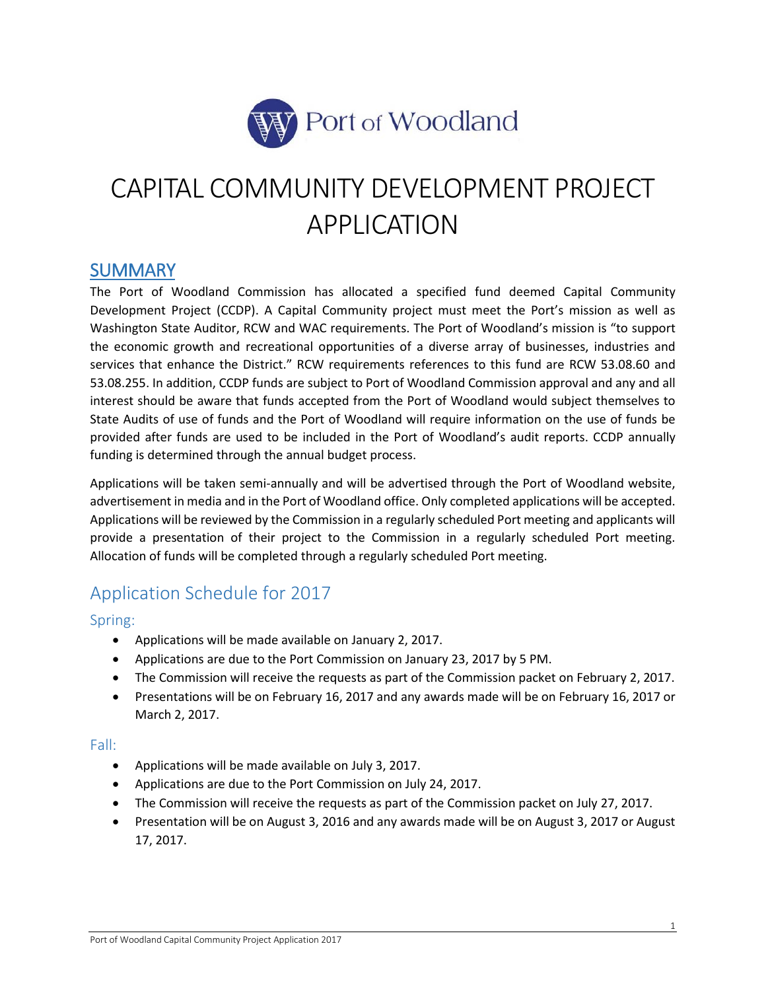

## CAPITAL COMMUNITY DEVELOPMENT PROJECT APPLICATION

### **SUMMARY**

The Port of Woodland Commission has allocated a specified fund deemed Capital Community Development Project (CCDP). A Capital Community project must meet the Port's mission as well as Washington State Auditor, RCW and WAC requirements. The Port of Woodland's mission is "to support the economic growth and recreational opportunities of a diverse array of businesses, industries and services that enhance the District." RCW requirements references to this fund are RCW 53.08.60 and 53.08.255. In addition, CCDP funds are subject to Port of Woodland Commission approval and any and all interest should be aware that funds accepted from the Port of Woodland would subject themselves to State Audits of use of funds and the Port of Woodland will require information on the use of funds be provided after funds are used to be included in the Port of Woodland's audit reports. CCDP annually funding is determined through the annual budget process.

Applications will be taken semi-annually and will be advertised through the Port of Woodland website, advertisement in media and in the Port of Woodland office. Only completed applications will be accepted. Applications will be reviewed by the Commission in a regularly scheduled Port meeting and applicants will provide a presentation of their project to the Commission in a regularly scheduled Port meeting. Allocation of funds will be completed through a regularly scheduled Port meeting.

## Application Schedule for 2017

Spring:

- Applications will be made available on January 2, 2017.
- Applications are due to the Port Commission on January 23, 2017 by 5 PM.
- The Commission will receive the requests as part of the Commission packet on February 2, 2017.
- Presentations will be on February 16, 2017 and any awards made will be on February 16, 2017 or March 2, 2017.

#### Fall:

- Applications will be made available on July 3, 2017.
- Applications are due to the Port Commission on July 24, 2017.
- The Commission will receive the requests as part of the Commission packet on July 27, 2017.
- Presentation will be on August 3, 2016 and any awards made will be on August 3, 2017 or August 17, 2017.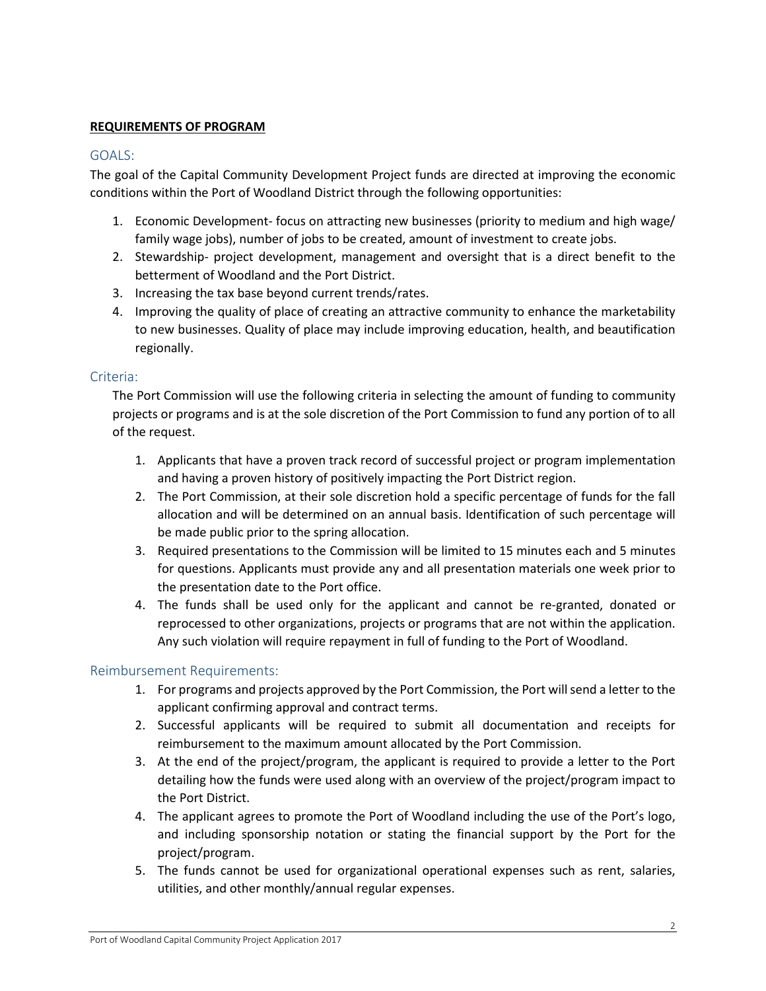#### **REQUIREMENTS OF PROGRAM**

#### GOALS:

The goal of the Capital Community Development Project funds are directed at improving the economic conditions within the Port of Woodland District through the following opportunities:

- 1. Economic Development- focus on attracting new businesses (priority to medium and high wage/ family wage jobs), number of jobs to be created, amount of investment to create jobs.
- 2. Stewardship- project development, management and oversight that is a direct benefit to the betterment of Woodland and the Port District.
- 3. Increasing the tax base beyond current trends/rates.
- 4. Improving the quality of place of creating an attractive community to enhance the marketability to new businesses. Quality of place may include improving education, health, and beautification regionally.

#### Criteria:

The Port Commission will use the following criteria in selecting the amount of funding to community projects or programs and is at the sole discretion of the Port Commission to fund any portion of to all of the request.

- 1. Applicants that have a proven track record of successful project or program implementation and having a proven history of positively impacting the Port District region.
- 2. The Port Commission, at their sole discretion hold a specific percentage of funds for the fall allocation and will be determined on an annual basis. Identification of such percentage will be made public prior to the spring allocation.
- 3. Required presentations to the Commission will be limited to 15 minutes each and 5 minutes for questions. Applicants must provide any and all presentation materials one week prior to the presentation date to the Port office.
- 4. The funds shall be used only for the applicant and cannot be re-granted, donated or reprocessed to other organizations, projects or programs that are not within the application. Any such violation will require repayment in full of funding to the Port of Woodland.

#### Reimbursement Requirements:

- 1. For programs and projects approved by the Port Commission, the Port will send a letter to the applicant confirming approval and contract terms.
- 2. Successful applicants will be required to submit all documentation and receipts for reimbursement to the maximum amount allocated by the Port Commission.
- 3. At the end of the project/program, the applicant is required to provide a letter to the Port detailing how the funds were used along with an overview of the project/program impact to the Port District.
- 4. The applicant agrees to promote the Port of Woodland including the use of the Port's logo, and including sponsorship notation or stating the financial support by the Port for the project/program.
- 5. The funds cannot be used for organizational operational expenses such as rent, salaries, utilities, and other monthly/annual regular expenses.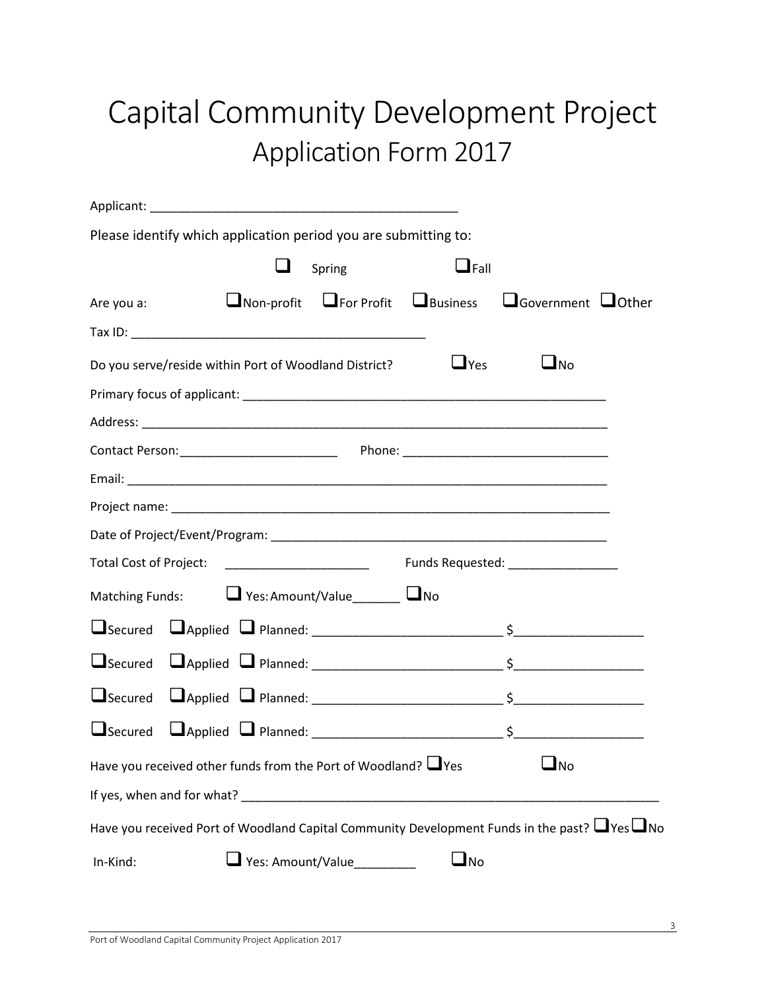# Capital Community Development Project Application Form 2017

| Applicant: the contract of the contract of the contract of the contract of the contract of the contract of the contract of the contract of the contract of the contract of the contract of the contract of the contract of the |        |                          |             |                                                                                    |  |
|--------------------------------------------------------------------------------------------------------------------------------------------------------------------------------------------------------------------------------|--------|--------------------------|-------------|------------------------------------------------------------------------------------|--|
| Please identify which application period you are submitting to:                                                                                                                                                                |        |                          |             |                                                                                    |  |
|                                                                                                                                                                                                                                | $\Box$ | Spring                   | $\Box$ Fall |                                                                                    |  |
| Are you a:                                                                                                                                                                                                                     |        |                          |             | $\Box$ Non-profit $\Box$ For Profit $\Box$ Business $\Box$ Government $\Box$ Other |  |
|                                                                                                                                                                                                                                |        |                          |             |                                                                                    |  |
| Do you serve/reside within Port of Woodland District?                                                                                                                                                                          |        |                          | $\Box$ Yes  | $\square$ No                                                                       |  |
|                                                                                                                                                                                                                                |        |                          |             |                                                                                    |  |
|                                                                                                                                                                                                                                |        |                          |             |                                                                                    |  |
|                                                                                                                                                                                                                                |        |                          |             |                                                                                    |  |
|                                                                                                                                                                                                                                |        |                          |             |                                                                                    |  |
|                                                                                                                                                                                                                                |        |                          |             |                                                                                    |  |
|                                                                                                                                                                                                                                |        |                          |             |                                                                                    |  |
| Total Cost of Project:                                                                                                                                                                                                         |        |                          |             | _____________________________   Funds Requested: _______________________________   |  |
| Matching Funds: $\Box$ Yes: Amount/Value $\Box$ No                                                                                                                                                                             |        |                          |             |                                                                                    |  |
|                                                                                                                                                                                                                                |        |                          |             |                                                                                    |  |
|                                                                                                                                                                                                                                |        |                          |             |                                                                                    |  |
|                                                                                                                                                                                                                                |        |                          |             |                                                                                    |  |
|                                                                                                                                                                                                                                |        |                          |             |                                                                                    |  |
| Have you received other funds from the Port of Woodland? $\Box$ Yes                                                                                                                                                            |        |                          |             | ─<br>$\square_{\sf No}$                                                            |  |
|                                                                                                                                                                                                                                |        |                          |             |                                                                                    |  |
| Have you received Port of Woodland Capital Community Development Funds in the past? $\Box$ Yes $\Box$ No                                                                                                                       |        |                          |             |                                                                                    |  |
| In-Kind:                                                                                                                                                                                                                       |        | $\Box$ Yes: Amount/Value | $\Box$ No   |                                                                                    |  |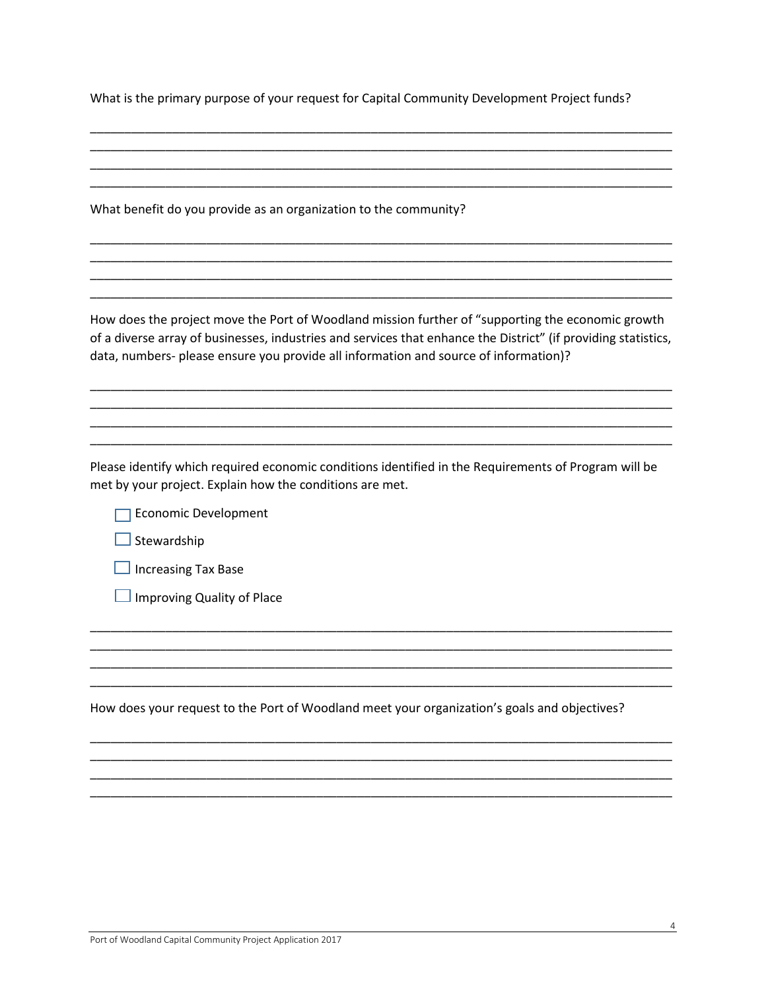What is the primary purpose of your request for Capital Community Development Project funds?

What benefit do you provide as an organization to the community?

How does the project move the Port of Woodland mission further of "supporting the economic growth of a diverse array of businesses, industries and services that enhance the District" (if providing statistics, data, numbers- please ensure you provide all information and source of information)?

Please identify which required economic conditions identified in the Requirements of Program will be met by your project. Explain how the conditions are met.

Economic Development

 $\Box$  Stewardship

 $\Box$  Increasing Tax Base

 $\Box$  Improving Quality of Place

How does your request to the Port of Woodland meet your organization's goals and objectives?